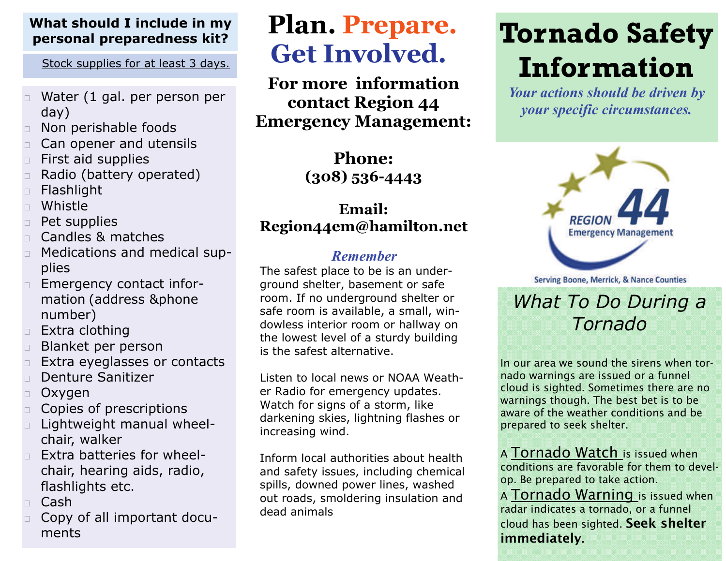### **What should I include in my personal preparedness kit?**

Stock supplies for at least 3 days.

- $\Box$  Water (1 gal. per person per day)
- $\Box$ Non perishable foods
- $\Box$ Can opener and utensils
- $\Box$ First aid supplies
- $\Box$ Radio (battery operated)
- $\Box$ Flashlight
- $\Box$ Whistle
- $\Box$ Pet supplies
- $\Box$ Candles & matches
- $\Box$  Medications and medical supplies
- $\Box$  Emergency contact information (address &phone number)
- □ Extra clothing
- $\Box$ Blanket per person
- $\Box$ Extra eyeglasses or contacts
- $\Box$ Denture Sanitizer
- $\Box$ Oxygen
- $\Box$ Copies of prescriptions
- $\Box$  Lightweight manual wheelchair, walker
- П. Extra batteries for wheelchair, hearing aids, radio, flashlights etc.
- □ Cash
- $\Box$  Copy of all important documents

# **Plan. Prepare. Get Involved.**

**For more information contact Region 44 Emergency Management:** 

> **Phone: (308) 536-4443**

## **Email: Region44em@hamilton.net**

### *Remember*

The safest place to be is an underground shelter, basement or safe room. If no underground shelter or safe room is available, a small, windowless interior room or hallway on the lowest level of a sturdy building is the safest alternative.

Listen to local news or NOAA Weather Radio for emergency updates. Watch for signs of a storm, like darkening skies, lightning flashes or increasing wind.

Inform local authorities about health and safety issues, including chemical spills, downed power lines, washed out roads, smoldering insulation and dead animals

# **Tornado Safety Information**

*Your actions should be driven by your specific circumstances.*



**Serving Boone, Merrick, & Nance Counties** 

# *What To Do During a Tornado*

In our area we sound the sirens when tornado warnings are issued or a funnel cloud is sighted. Sometimes there are no warnings though. The best bet is to be aware of the weather conditions and be prepared to seek shelter.

A Tornado Watch is issued when conditions are favorable for them to develop. Be prepared to take action.

A Tornado Warning is issued when radar indicates a tornado, or a funnel cloud has been sighted. Seek shelter immediately.